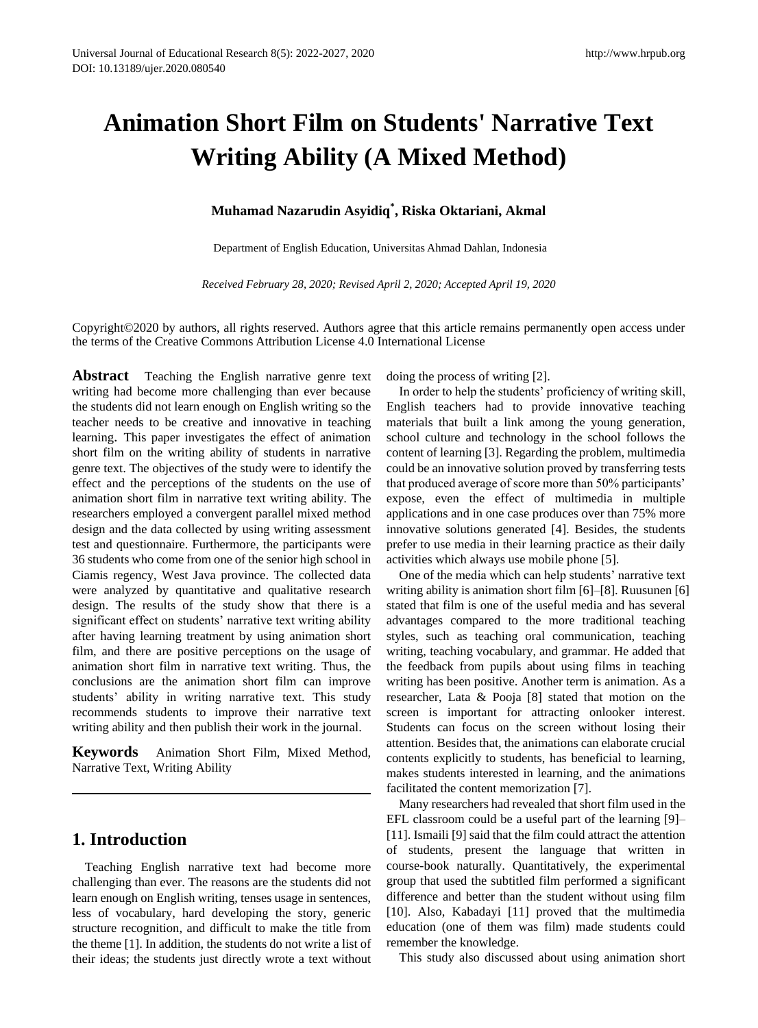# **Animation Short Film on Students' Narrative Text Writing Ability (A Mixed Method)**

#### **Muhamad Nazarudin Asyidiq\* , Riska Oktariani, Akmal**

Department of English Education, Universitas Ahmad Dahlan, Indonesia

*Received February 28, 2020; Revised April 2, 2020; Accepted April 19, 2020*

Copyright©2020 by authors, all rights reserved. Authors agree that this article remains permanently open access under the terms of the Creative Commons Attribution License 4.0 International License

**Abstract** Teaching the English narrative genre text writing had become more challenging than ever because the students did not learn enough on English writing so the teacher needs to be creative and innovative in teaching learning. This paper investigates the effect of animation short film on the writing ability of students in narrative genre text. The objectives of the study were to identify the effect and the perceptions of the students on the use of animation short film in narrative text writing ability. The researchers employed a convergent parallel mixed method design and the data collected by using writing assessment test and questionnaire. Furthermore, the participants were 36 students who come from one of the senior high school in Ciamis regency, West Java province. The collected data were analyzed by quantitative and qualitative research design. The results of the study show that there is a significant effect on students' narrative text writing ability after having learning treatment by using animation short film, and there are positive perceptions on the usage of animation short film in narrative text writing. Thus, the conclusions are the animation short film can improve students' ability in writing narrative text. This study recommends students to improve their narrative text writing ability and then publish their work in the journal.

**Keywords** Animation Short Film, Mixed Method, Narrative Text, Writing Ability

#### **1. Introduction**

Teaching English narrative text had become more challenging than ever. The reasons are the students did not learn enough on English writing, tenses usage in sentences, less of vocabulary, hard developing the story, generic structure recognition, and difficult to make the title from the theme [1]. In addition, the students do not write a list of their ideas; the students just directly wrote a text without doing the process of writing [2].

In order to help the students' proficiency of writing skill, English teachers had to provide innovative teaching materials that built a link among the young generation, school culture and technology in the school follows the content of learning [3]. Regarding the problem, multimedia could be an innovative solution proved by transferring tests that produced average of score more than 50% participants' expose, even the effect of multimedia in multiple applications and in one case produces over than 75% more innovative solutions generated [4]. Besides, the students prefer to use media in their learning practice as their daily activities which always use mobile phone [5].

One of the media which can help students' narrative text writing ability is animation short film [6]–[8]. Ruusunen [6] stated that film is one of the useful media and has several advantages compared to the more traditional teaching styles, such as teaching oral communication, teaching writing, teaching vocabulary, and grammar. He added that the feedback from pupils about using films in teaching writing has been positive. Another term is animation. As a researcher, Lata & Pooja [8] stated that motion on the screen is important for attracting onlooker interest. Students can focus on the screen without losing their attention. Besides that, the animations can elaborate crucial contents explicitly to students, has beneficial to learning, makes students interested in learning, and the animations facilitated the content memorization [7].

Many researchers had revealed that short film used in the EFL classroom could be a useful part of the learning [9]– [11]. Ismaili [9] said that the film could attract the attention of students, present the language that written in course-book naturally. Quantitatively, the experimental group that used the subtitled film performed a significant difference and better than the student without using film [10]. Also, Kabadayi [11] proved that the multimedia education (one of them was film) made students could remember the knowledge.

This study also discussed about using animation short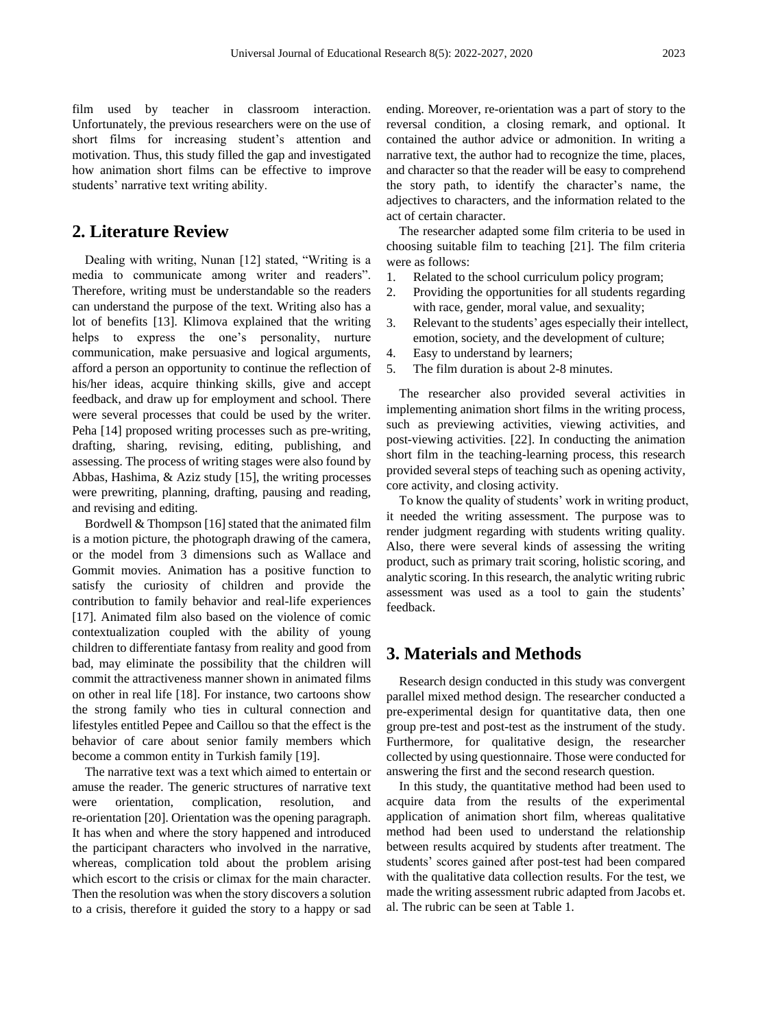film used by teacher in classroom interaction. Unfortunately, the previous researchers were on the use of short films for increasing student's attention and motivation. Thus, this study filled the gap and investigated how animation short films can be effective to improve students' narrative text writing ability.

## **2. Literature Review**

Dealing with writing, Nunan [12] stated, "Writing is a media to communicate among writer and readers". Therefore, writing must be understandable so the readers can understand the purpose of the text. Writing also has a lot of benefits [13]. Klimova explained that the writing helps to express the one's personality, nurture communication, make persuasive and logical arguments, afford a person an opportunity to continue the reflection of his/her ideas, acquire thinking skills, give and accept feedback, and draw up for employment and school. There were several processes that could be used by the writer. Peha [14] proposed writing processes such as pre-writing, drafting, sharing, revising, editing, publishing, and assessing. The process of writing stages were also found by Abbas, Hashima, & Aziz study [15], the writing processes were prewriting, planning, drafting, pausing and reading, and revising and editing.

Bordwell & Thompson [16] stated that the animated film is a motion picture, the photograph drawing of the camera, or the model from 3 dimensions such as Wallace and Gommit movies. Animation has a positive function to satisfy the curiosity of children and provide the contribution to family behavior and real-life experiences [17]. Animated film also based on the violence of comic contextualization coupled with the ability of young children to differentiate fantasy from reality and good from bad, may eliminate the possibility that the children will commit the attractiveness manner shown in animated films on other in real life [18]. For instance, two cartoons show the strong family who ties in cultural connection and lifestyles entitled Pepee and Caillou so that the effect is the behavior of care about senior family members which become a common entity in Turkish family [19].

The narrative text was a text which aimed to entertain or amuse the reader. The generic structures of narrative text were orientation, complication, resolution, and re-orientation [20]. Orientation was the opening paragraph. It has when and where the story happened and introduced the participant characters who involved in the narrative, whereas, complication told about the problem arising which escort to the crisis or climax for the main character. Then the resolution was when the story discovers a solution to a crisis, therefore it guided the story to a happy or sad

ending. Moreover, re-orientation was a part of story to the reversal condition, a closing remark, and optional. It contained the author advice or admonition. In writing a narrative text, the author had to recognize the time, places, and character so that the reader will be easy to comprehend the story path, to identify the character's name, the adjectives to characters, and the information related to the act of certain character.

The researcher adapted some film criteria to be used in choosing suitable film to teaching [21]. The film criteria were as follows:

- 1. Related to the school curriculum policy program;
- 2. Providing the opportunities for all students regarding with race, gender, moral value, and sexuality;
- 3. Relevant to the students' ages especially their intellect, emotion, society, and the development of culture;
- 4. Easy to understand by learners;
- 5. The film duration is about 2-8 minutes.

The researcher also provided several activities in implementing animation short films in the writing process, such as previewing activities, viewing activities, and post-viewing activities. [22]. In conducting the animation short film in the teaching-learning process, this research provided several steps of teaching such as opening activity, core activity, and closing activity.

To know the quality of students' work in writing product, it needed the writing assessment. The purpose was to render judgment regarding with students writing quality. Also, there were several kinds of assessing the writing product, such as primary trait scoring, holistic scoring, and analytic scoring. In this research, the analytic writing rubric assessment was used as a tool to gain the students' feedback.

#### **3. Materials and Methods**

Research design conducted in this study was convergent parallel mixed method design. The researcher conducted a pre-experimental design for quantitative data, then one group pre-test and post-test as the instrument of the study. Furthermore, for qualitative design, the researcher collected by using questionnaire. Those were conducted for answering the first and the second research question.

In this study, the quantitative method had been used to acquire data from the results of the experimental application of animation short film, whereas qualitative method had been used to understand the relationship between results acquired by students after treatment. The students' scores gained after post-test had been compared with the qualitative data collection results. For the test, we made the writing assessment rubric adapted from Jacobs et. al. The rubric can be seen at Table 1.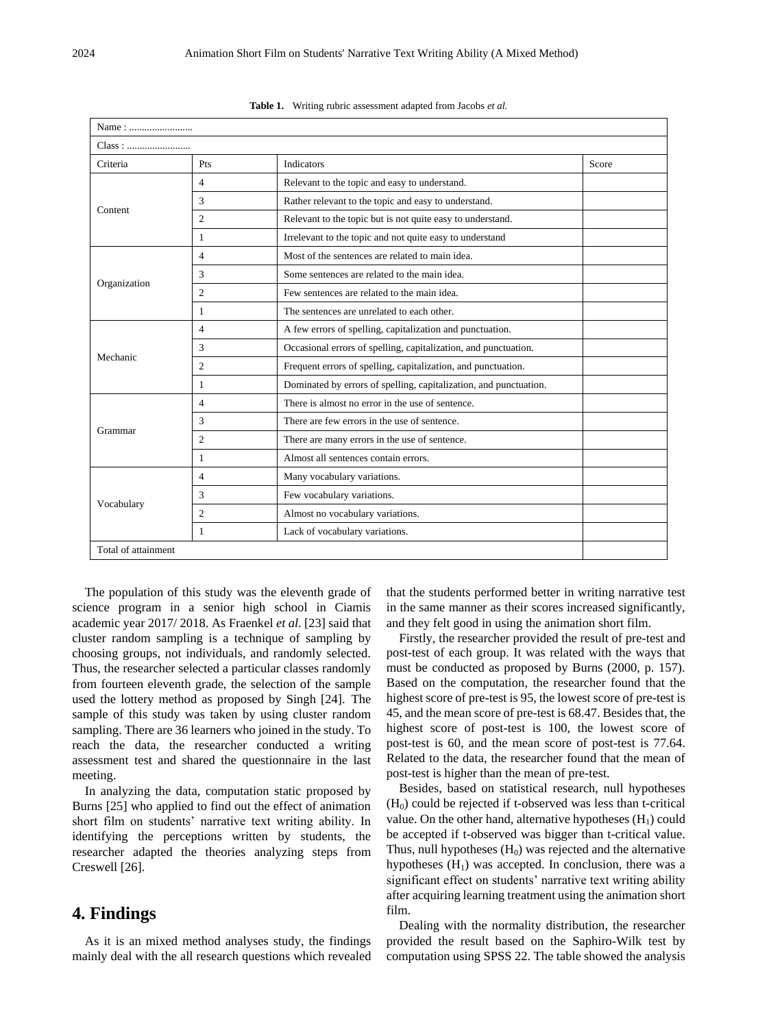| Name:               |                |                                                                   |  |  |
|---------------------|----------------|-------------------------------------------------------------------|--|--|
| Class:              |                |                                                                   |  |  |
| Criteria            | Pts            | Indicators<br>Score                                               |  |  |
| Content             | $\overline{4}$ | Relevant to the topic and easy to understand.                     |  |  |
|                     | 3              | Rather relevant to the topic and easy to understand.              |  |  |
|                     | $\overline{c}$ | Relevant to the topic but is not quite easy to understand.        |  |  |
|                     | 1              | Irrelevant to the topic and not quite easy to understand          |  |  |
|                     | $\overline{4}$ | Most of the sentences are related to main idea.                   |  |  |
|                     | 3              | Some sentences are related to the main idea.                      |  |  |
| Organization        | $\overline{c}$ | Few sentences are related to the main idea.                       |  |  |
|                     | 1              | The sentences are unrelated to each other.                        |  |  |
|                     | $\overline{4}$ | A few errors of spelling, capitalization and punctuation.         |  |  |
|                     | 3              | Occasional errors of spelling, capitalization, and punctuation.   |  |  |
| Mechanic            | $\overline{c}$ | Frequent errors of spelling, capitalization, and punctuation.     |  |  |
|                     | 1              | Dominated by errors of spelling, capitalization, and punctuation. |  |  |
|                     | $\overline{4}$ | There is almost no error in the use of sentence.                  |  |  |
|                     | $\mathcal{R}$  | There are few errors in the use of sentence.                      |  |  |
| Grammar             | $\overline{2}$ | There are many errors in the use of sentence.                     |  |  |
|                     | 1              | Almost all sentences contain errors.                              |  |  |
|                     | $\overline{4}$ | Many vocabulary variations.                                       |  |  |
| Vocabulary          | 3              | Few vocabulary variations.                                        |  |  |
|                     | $\overline{c}$ | Almost no vocabulary variations.                                  |  |  |
|                     | 1              | Lack of vocabulary variations.                                    |  |  |
| Total of attainment |                |                                                                   |  |  |

| Table 1. |  | Writing rubric assessment adapted from Jacobs et al. |  |
|----------|--|------------------------------------------------------|--|
|----------|--|------------------------------------------------------|--|

The population of this study was the eleventh grade of science program in a senior high school in Ciamis academic year 2017/ 2018. As Fraenkel *et al*. [23] said that cluster random sampling is a technique of sampling by choosing groups, not individuals, and randomly selected. Thus, the researcher selected a particular classes randomly from fourteen eleventh grade, the selection of the sample used the lottery method as proposed by Singh [24]. The sample of this study was taken by using cluster random sampling. There are 36 learners who joined in the study. To reach the data, the researcher conducted a writing assessment test and shared the questionnaire in the last meeting.

In analyzing the data, computation static proposed by Burns [25] who applied to find out the effect of animation short film on students' narrative text writing ability. In identifying the perceptions written by students, the researcher adapted the theories analyzing steps from Creswell [26].

#### **4. Findings**

As it is an mixed method analyses study, the findings mainly deal with the all research questions which revealed that the students performed better in writing narrative test in the same manner as their scores increased significantly, and they felt good in using the animation short film.

Firstly, the researcher provided the result of pre-test and post-test of each group. It was related with the ways that must be conducted as proposed by Burns (2000, p. 157). Based on the computation, the researcher found that the highest score of pre-test is 95, the lowest score of pre-test is 45, and the mean score of pre-test is 68.47. Besides that, the highest score of post-test is 100, the lowest score of post-test is 60, and the mean score of post-test is 77.64. Related to the data, the researcher found that the mean of post-test is higher than the mean of pre-test.

Besides, based on statistical research, null hypotheses  $(H<sub>0</sub>)$  could be rejected if t-observed was less than t-critical value. On the other hand, alternative hypotheses  $(H_1)$  could be accepted if t-observed was bigger than t-critical value. Thus, null hypotheses  $(H_0)$  was rejected and the alternative hypotheses  $(H<sub>1</sub>)$  was accepted. In conclusion, there was a significant effect on students' narrative text writing ability after acquiring learning treatment using the animation short film.

Dealing with the normality distribution, the researcher provided the result based on the Saphiro-Wilk test by computation using SPSS 22. The table showed the analysis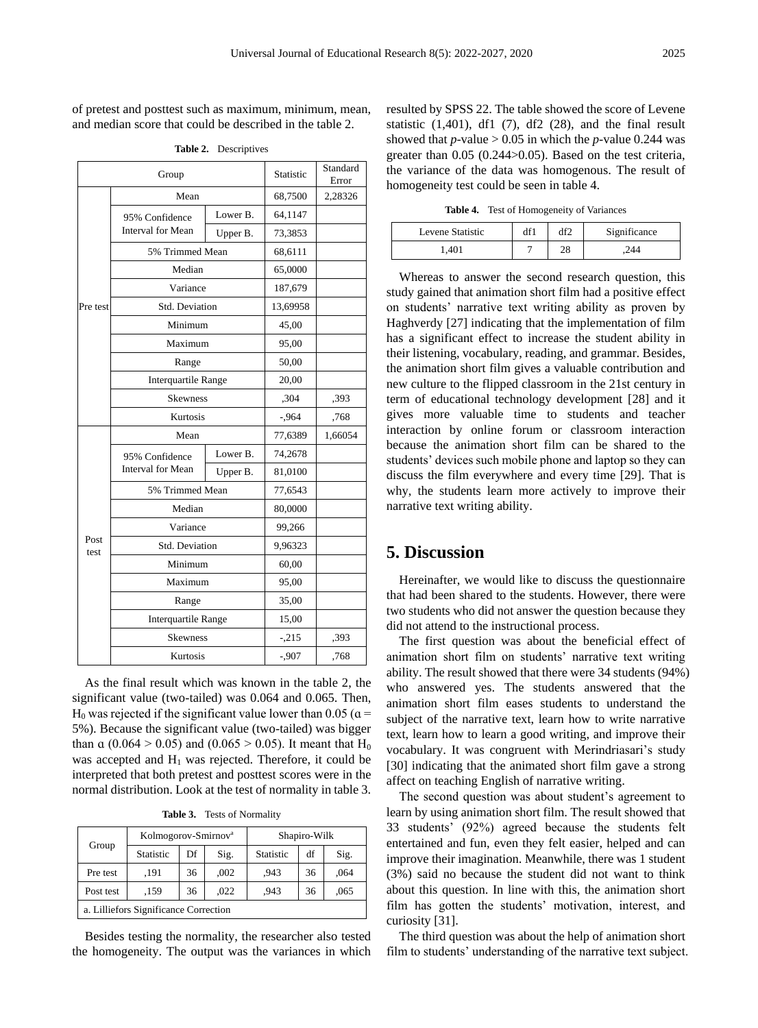of pretest and posttest such as maximum, minimum, mean, and median score that could be described in the table 2.

| Group        |                                            |          | Statistic | Standard<br>Error |
|--------------|--------------------------------------------|----------|-----------|-------------------|
|              | Mean                                       |          |           | 2,28326           |
|              | 95% Confidence                             | Lower B. | 64,1147   |                   |
|              | <b>Interval for Mean</b>                   | Upper B. | 73,3853   |                   |
|              | 5% Trimmed Mean                            | 68,6111  |           |                   |
|              | Median                                     | 65,0000  |           |                   |
|              | Variance                                   | 187,679  |           |                   |
| Pre test     | Std. Deviation                             | 13,69958 |           |                   |
|              | Minimum                                    | 45,00    |           |                   |
|              | Maximum                                    | 95,00    |           |                   |
|              | Range                                      | 50,00    |           |                   |
|              | <b>Interquartile Range</b>                 | 20,00    |           |                   |
|              | <b>Skewness</b>                            | ,304     | .393      |                   |
|              | Kurtosis                                   | $-0.964$ | ,768      |                   |
|              | Mean                                       | 77,6389  | 1,66054   |                   |
|              | 95% Confidence<br><b>Interval for Mean</b> | Lower B. | 74,2678   |                   |
|              |                                            | Upper B. | 81,0100   |                   |
|              | 5% Trimmed Mean                            | 77,6543  |           |                   |
| Post<br>test | Median                                     | 80,0000  |           |                   |
|              | Variance                                   | 99,266   |           |                   |
|              | Std. Deviation                             | 9,96323  |           |                   |
|              | Minimum                                    | 60,00    |           |                   |
|              | Maximum                                    | 95,00    |           |                   |
|              | Range                                      | 35,00    |           |                   |
|              | <b>Interquartile Range</b>                 | 15,00    |           |                   |
|              | <b>Skewness</b>                            | $-.215$  | ,393      |                   |
|              | Kurtosis                                   | $-0.907$ | ,768      |                   |

**Table 2.** Descriptives

As the final result which was known in the table 2, the significant value (two-tailed) was 0.064 and 0.065. Then,  $H_0$  was rejected if the significant value lower than 0.05 ( $\alpha$  = 5%). Because the significant value (two-tailed) was bigger than  $\alpha$  (0.064 > 0.05) and (0.065 > 0.05). It meant that H<sub>0</sub> was accepted and  $H_1$  was rejected. Therefore, it could be interpreted that both pretest and posttest scores were in the normal distribution. Look at the test of normality in table 3.

**Table 3.** Tests of Normality

| Group                                 | Kolmogorov-Smirnov <sup>a</sup> |    |      | Shapiro-Wilk     |    |      |
|---------------------------------------|---------------------------------|----|------|------------------|----|------|
|                                       | <b>Statistic</b>                | Df | Sig. | <b>Statistic</b> | df | Sig. |
| Pre test                              | .191                            | 36 | ,002 | .943             | 36 | ,064 |
| Post test                             | .159                            | 36 | .022 | .943             | 36 | ,065 |
| a. Lilliefors Significance Correction |                                 |    |      |                  |    |      |

Besides testing the normality, the researcher also tested the homogeneity. The output was the variances in which resulted by SPSS 22. The table showed the score of Levene statistic  $(1,401)$ , df1  $(7)$ , df2  $(28)$ , and the final result showed that  $p$ -value  $> 0.05$  in which the  $p$ -value 0.244 was greater than 0.05 (0.244>0.05). Based on the test criteria, the variance of the data was homogenous. The result of homogeneity test could be seen in table 4.

**Table 4.** Test of Homogeneity of Variances

| Levene Statistic | df1 | d۴٦     | Significance |
|------------------|-----|---------|--------------|
| .401             | -   | റ<br>40 | 244          |

Whereas to answer the second research question, this study gained that animation short film had a positive effect on students' narrative text writing ability as proven by Haghverdy [27] indicating that the implementation of film has a significant effect to increase the student ability in their listening, vocabulary, reading, and grammar. Besides, the animation short film gives a valuable contribution and new culture to the flipped classroom in the 21st century in term of educational technology development [28] and it gives more valuable time to students and teacher interaction by online forum or classroom interaction because the animation short film can be shared to the students' devices such mobile phone and laptop so they can discuss the film everywhere and every time [29]. That is why, the students learn more actively to improve their narrative text writing ability.

#### **5. Discussion**

Hereinafter, we would like to discuss the questionnaire that had been shared to the students. However, there were two students who did not answer the question because they did not attend to the instructional process.

The first question was about the beneficial effect of animation short film on students' narrative text writing ability. The result showed that there were 34 students (94%) who answered yes. The students answered that the animation short film eases students to understand the subject of the narrative text, learn how to write narrative text, learn how to learn a good writing, and improve their vocabulary. It was congruent with Merindriasari's study [30] indicating that the animated short film gave a strong affect on teaching English of narrative writing.

The second question was about student's agreement to learn by using animation short film. The result showed that 33 students' (92%) agreed because the students felt entertained and fun, even they felt easier, helped and can improve their imagination. Meanwhile, there was 1 student (3%) said no because the student did not want to think about this question. In line with this, the animation short film has gotten the students' motivation, interest, and curiosity [31].

The third question was about the help of animation short film to students' understanding of the narrative text subject.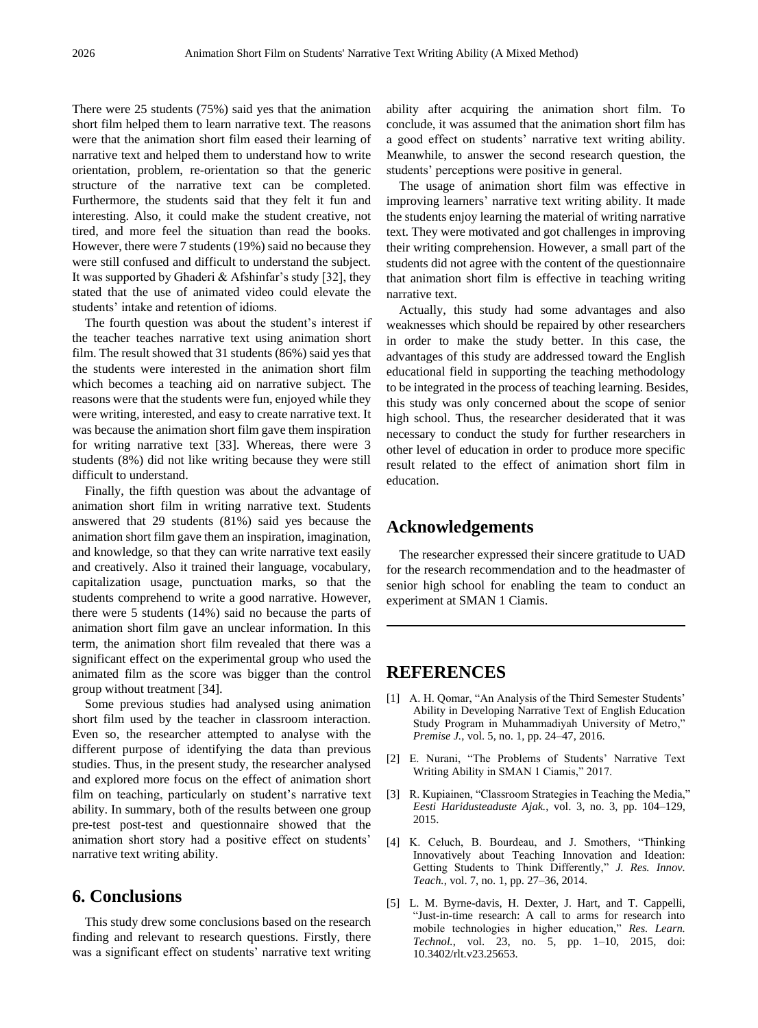There were 25 students (75%) said yes that the animation short film helped them to learn narrative text. The reasons were that the animation short film eased their learning of narrative text and helped them to understand how to write orientation, problem, re-orientation so that the generic structure of the narrative text can be completed. Furthermore, the students said that they felt it fun and interesting. Also, it could make the student creative, not tired, and more feel the situation than read the books. However, there were 7 students (19%) said no because they were still confused and difficult to understand the subject. It was supported by Ghaderi & Afshinfar's study [32], they stated that the use of animated video could elevate the students' intake and retention of idioms.

The fourth question was about the student's interest if the teacher teaches narrative text using animation short film. The result showed that 31 students (86%) said yes that the students were interested in the animation short film which becomes a teaching aid on narrative subject. The reasons were that the students were fun, enjoyed while they were writing, interested, and easy to create narrative text. It was because the animation short film gave them inspiration for writing narrative text [33]. Whereas, there were 3 students (8%) did not like writing because they were still difficult to understand.

Finally, the fifth question was about the advantage of animation short film in writing narrative text. Students answered that 29 students (81%) said yes because the animation short film gave them an inspiration, imagination, and knowledge, so that they can write narrative text easily and creatively. Also it trained their language, vocabulary, capitalization usage, punctuation marks, so that the students comprehend to write a good narrative. However, there were 5 students (14%) said no because the parts of animation short film gave an unclear information. In this term, the animation short film revealed that there was a significant effect on the experimental group who used the animated film as the score was bigger than the control group without treatment [34].

Some previous studies had analysed using animation short film used by the teacher in classroom interaction. Even so, the researcher attempted to analyse with the different purpose of identifying the data than previous studies. Thus, in the present study, the researcher analysed and explored more focus on the effect of animation short film on teaching, particularly on student's narrative text ability. In summary, both of the results between one group pre-test post-test and questionnaire showed that the animation short story had a positive effect on students' narrative text writing ability.

#### **6. Conclusions**

This study drew some conclusions based on the research finding and relevant to research questions. Firstly, there was a significant effect on students' narrative text writing ability after acquiring the animation short film. To conclude, it was assumed that the animation short film has a good effect on students' narrative text writing ability. Meanwhile, to answer the second research question, the students' perceptions were positive in general.

The usage of animation short film was effective in improving learners' narrative text writing ability. It made the students enjoy learning the material of writing narrative text. They were motivated and got challenges in improving their writing comprehension. However, a small part of the students did not agree with the content of the questionnaire that animation short film is effective in teaching writing narrative text.

Actually, this study had some advantages and also weaknesses which should be repaired by other researchers in order to make the study better. In this case, the advantages of this study are addressed toward the English educational field in supporting the teaching methodology to be integrated in the process of teaching learning. Besides, this study was only concerned about the scope of senior high school. Thus, the researcher desiderated that it was necessary to conduct the study for further researchers in other level of education in order to produce more specific result related to the effect of animation short film in education.

#### **Acknowledgements**

The researcher expressed their sincere gratitude to UAD for the research recommendation and to the headmaster of senior high school for enabling the team to conduct an experiment at SMAN 1 Ciamis.

### **REFERENCES**

- [1] A. H. Qomar, "An Analysis of the Third Semester Students' Ability in Developing Narrative Text of English Education Study Program in Muhammadiyah University of Metro," *Premise J.*, vol. 5, no. 1, pp. 24–47, 2016.
- [2] E. Nurani, "The Problems of Students' Narrative Text Writing Ability in SMAN 1 Ciamis," 2017.
- [3] R. Kupiainen, "Classroom Strategies in Teaching the Media," *Eesti Haridusteaduste Ajak.*, vol. 3, no. 3, pp. 104–129, 2015.
- [4] K. Celuch, B. Bourdeau, and J. Smothers, "Thinking Innovatively about Teaching Innovation and Ideation: Getting Students to Think Differently," *J. Res. Innov. Teach.*, vol. 7, no. 1, pp. 27–36, 2014.
- [5] L. M. Byrne-davis, H. Dexter, J. Hart, and T. Cappelli, "Just-in-time research: A call to arms for research into mobile technologies in higher education," *Res. Learn. Technol.*, vol. 23, no. 5, pp. 1–10, 2015, doi: 10.3402/rlt.v23.25653.